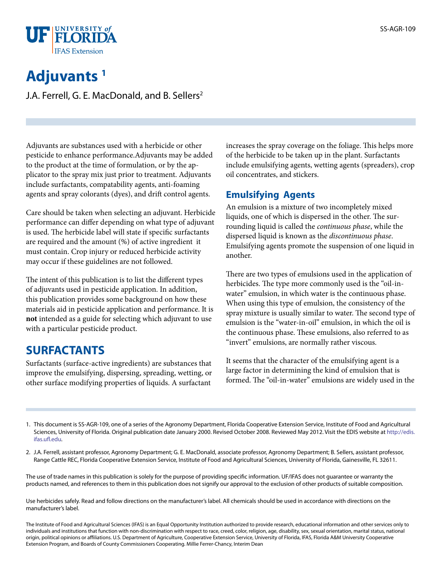

# **Adjuvants 1**

J.A. Ferrell, G. E. MacDonald, and B. Sellers<sup>2</sup>

Adjuvants are substances used with a herbicide or other pesticide to enhance performance.Adjuvants may be added to the product at the time of formulation, or by the applicator to the spray mix just prior to treatment. Adjuvants include surfactants, compatability agents, anti-foaming agents and spray colorants (dyes), and drift control agents.

Care should be taken when selecting an adjuvant. Herbicide performance can differ depending on what type of adjuvant is used. The herbicide label will state if specific surfactants are required and the amount (%) of active ingredient it must contain. Crop injury or reduced herbicide activity may occur if these guidelines are not followed.

The intent of this publication is to list the different types of adjuvants used in pesticide application. In addition, this publication provides some background on how these materials aid in pesticide application and performance. It is **not** intended as a guide for selecting which adjuvant to use with a particular pesticide product.

### **SURFACTANTS**

Surfactants (surface-active ingredients) are substances that improve the emulsifying, dispersing, spreading, wetting, or other surface modifying properties of liquids. A surfactant

increases the spray coverage on the foliage. This helps more of the herbicide to be taken up in the plant. Surfactants include emulsifying agents, wetting agents (spreaders), crop oil concentrates, and stickers.

### **Emulsifying Agents**

An emulsion is a mixture of two incompletely mixed liquids, one of which is dispersed in the other. The surrounding liquid is called the *continuous phase*, while the dispersed liquid is known as the *discontinuous phase*. Emulsifying agents promote the suspension of one liquid in another.

There are two types of emulsions used in the application of herbicides. The type more commonly used is the "oil-inwater" emulsion, in which water is the continuous phase. When using this type of emulsion, the consistency of the spray mixture is usually similar to water. The second type of emulsion is the "water-in-oil" emulsion, in which the oil is the continuous phase. These emulsions, also referred to as "invert" emulsions, are normally rather viscous.

It seems that the character of the emulsifying agent is a large factor in determining the kind of emulsion that is formed. The "oil-in-water" emulsions are widely used in the

- 1. This document is SS-AGR-109, one of a series of the Agronomy Department, Florida Cooperative Extension Service, Institute of Food and Agricultural Sciences, University of Florida. Original publication date January 2000. Revised October 2008. Reviewed May 2012. Visit the EDIS website at [http://edis.](http://edis.ifas.ufl.edu) [ifas.ufl.edu.](http://edis.ifas.ufl.edu)
- 2. J.A. Ferrell, assistant professor, Agronomy Department; G. E. MacDonald, associate professor, Agronomy Department; B. Sellers, assistant professor, Range Cattle REC, Florida Cooperative Extension Service, Institute of Food and Agricultural Sciences, University of Florida, Gainesville, FL 32611.

The use of trade names in this publication is solely for the purpose of providing specific information. UF/IFAS does not guarantee or warranty the products named, and references to them in this publication does not signify our approval to the exclusion of other products of suitable composition.

Use herbicides safely. Read and follow directions on the manufacturer's label. All chemicals should be used in accordance with directions on the manufacturer's label.

The Institute of Food and Agricultural Sciences (IFAS) is an Equal Opportunity Institution authorized to provide research, educational information and other services only to individuals and institutions that function with non-discrimination with respect to race, creed, color, religion, age, disability, sex, sexual orientation, marital status, national origin, political opinions or affiliations. U.S. Department of Agriculture, Cooperative Extension Service, University of Florida, IFAS, Florida A&M University Cooperative Extension Program, and Boards of County Commissioners Cooperating. Millie Ferrer-Chancy, Interim Dean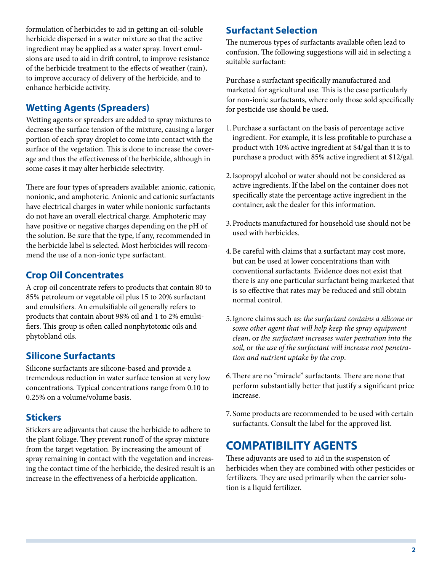formulation of herbicides to aid in getting an oil-soluble herbicide dispersed in a water mixture so that the active ingredient may be applied as a water spray. Invert emulsions are used to aid in drift control, to improve resistance of the herbicide treatment to the effects of weather (rain), to improve accuracy of delivery of the herbicide, and to enhance herbicide activity.

#### **Wetting Agents (Spreaders)**

Wetting agents or spreaders are added to spray mixtures to decrease the surface tension of the mixture, causing a larger portion of each spray droplet to come into contact with the surface of the vegetation. This is done to increase the coverage and thus the effectiveness of the herbicide, although in some cases it may alter herbicide selectivity.

There are four types of spreaders available: anionic, cationic, nonionic, and amphoteric. Anionic and cationic surfactants have electrical charges in water while nonionic surfactants do not have an overall electrical charge. Amphoteric may have positive or negative charges depending on the pH of the solution. Be sure that the type, if any, recommended in the herbicide label is selected. Most herbicides will recommend the use of a non-ionic type surfactant.

### **Crop Oil Concentrates**

A crop oil concentrate refers to products that contain 80 to 85% petroleum or vegetable oil plus 15 to 20% surfactant and emulsifiers. An emulsifiable oil generally refers to products that contain about 98% oil and 1 to 2% emulsifiers. This group is often called nonphytotoxic oils and phytobland oils.

### **Silicone Surfactants**

Silicone surfactants are silicone-based and provide a tremendous reduction in water surface tension at very low concentrations. Typical concentrations range from 0.10 to 0.25% on a volume/volume basis.

#### **Stickers**

Stickers are adjuvants that cause the herbicide to adhere to the plant foliage. They prevent runoff of the spray mixture from the target vegetation. By increasing the amount of spray remaining in contact with the vegetation and increasing the contact time of the herbicide, the desired result is an increase in the effectiveness of a herbicide application.

#### **Surfactant Selection**

The numerous types of surfactants available often lead to confusion. The following suggestions will aid in selecting a suitable surfactant:

Purchase a surfactant specifically manufactured and marketed for agricultural use. This is the case particularly for non-ionic surfactants, where only those sold specifically for pesticide use should be used.

- 1.Purchase a surfactant on the basis of percentage active ingredient. For example, it is less profitable to purchase a product with 10% active ingredient at \$4/gal than it is to purchase a product with 85% active ingredient at \$12/gal.
- 2.Isopropyl alcohol or water should not be considered as active ingredients. If the label on the container does not specifically state the percentage active ingredient in the container, ask the dealer for this information.
- 3.Products manufactured for household use should not be used with herbicides.
- 4.Be careful with claims that a surfactant may cost more, but can be used at lower concentrations than with conventional surfactants. Evidence does not exist that there is any one particular surfactant being marketed that is so effective that rates may be reduced and still obtain normal control.
- 5.Ignore claims such as: *the surfactant contains a silicone or some other agent that will help keep the spray equipment clean*, or *the surfactant increases water pentration into the soil*, or *the use of the surfactant will increase root penetration and nutrient uptake by the crop*.
- 6.There are no "miracle" surfactants. There are none that perform substantially better that justify a significant price increase.
- 7.Some products are recommended to be used with certain surfactants. Consult the label for the approved list.

# **COMPATIBILITY AGENTS**

These adjuvants are used to aid in the suspension of herbicides when they are combined with other pesticides or fertilizers. They are used primarily when the carrier solution is a liquid fertilizer.